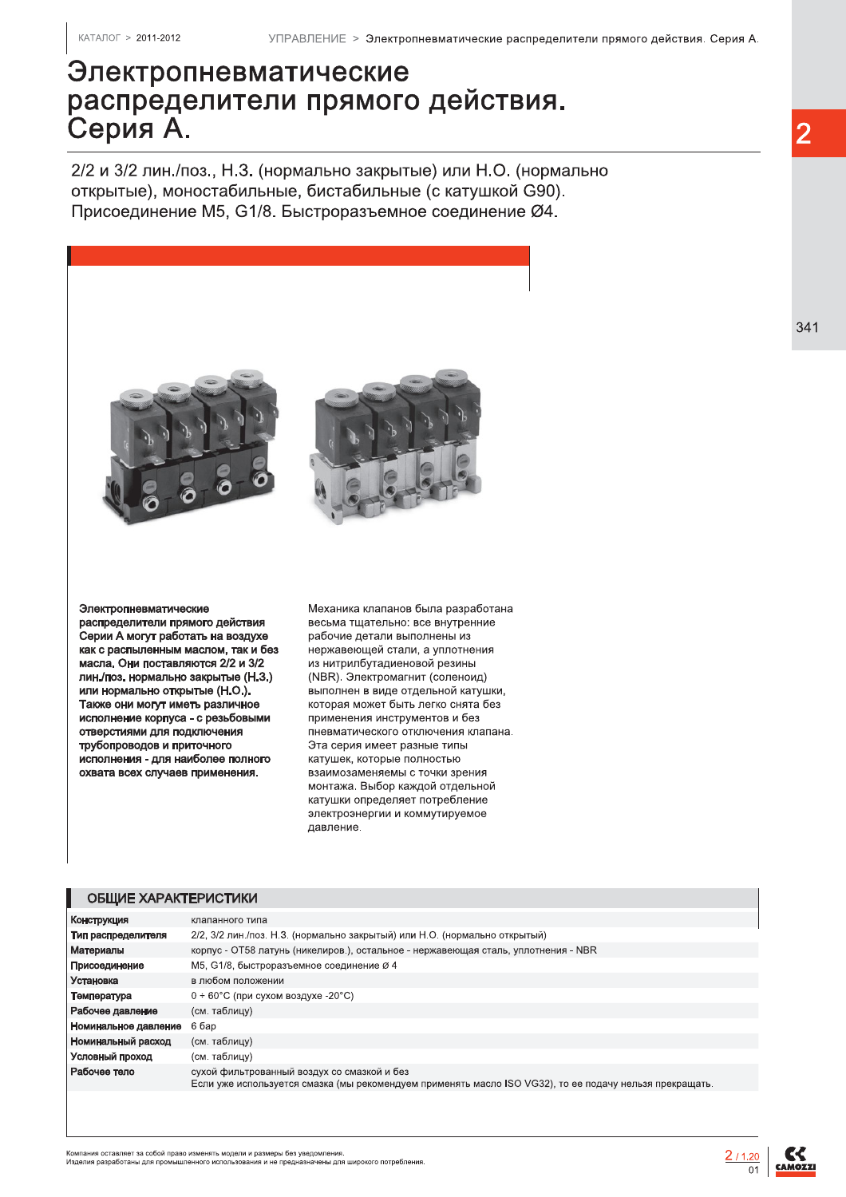# Электропневматические распределители прямого действия. Серия А.

2/2 и 3/2 лин./поз., Н.З. (нормально закрытые) или Н.О. (нормально открытые), моностабильные, бистабильные (с катушкой G90). Присоединение М5, G1/8. Быстроразъемное соединение Ø4.



Электропневматические распределители прямого действия Серии А могут работать на воздухе как с распыленным маслом, так и без масла. Они поставляются 2/2 и 3/2 лин./поз. нормально закрытые (Н.З.) или нормально открытые (Н.О.). Также они могут иметь различное исполнение корпуса - с резьбовыми отверстиями для подключения трубопроводов и приточного исполнения - для наиболее полного охвата всех случаев применения.

Механика клапанов была разработана весьма тщательно: все внутренние рабочие детали выполнены из нержавеющей стали, а уплотнения из нитрилбутадиеновой резины (NBR). Электромагнит (соленоид) выполнен в виде отдельной катушки, которая может быть легко снята без применения инструментов и без пневматического отключения клапана. Эта серия имеет разные типы катушек, которые полностью взаимозаменяемы с точки зрения монтажа. Выбор каждой отдельной катушки определяет потребление электроэнергии и коммутируемое лавление.

#### ОБЩИЕ ХАРАКТЕРИСТИКИ

| Конструкция          | клапанного типа                                                                                                                                        |
|----------------------|--------------------------------------------------------------------------------------------------------------------------------------------------------|
| Тип распределителя   | 2/2, 3/2 лин./поз. Н.З. (нормально закрытый) или Н.О. (нормально открытый)                                                                             |
| Материалы            | корпус - ОТ58 латунь (никелиров.), остальное - нержавеющая сталь, уплотнения - NBR                                                                     |
| Присоединение        | М5, G1/8, быстроразъемное соединение Ø 4                                                                                                               |
| Установка            | в любом положении                                                                                                                                      |
| Температура          | $0 \div 60^{\circ}$ С (при сухом воздухе -20 $^{\circ}$ С)                                                                                             |
| Рабочее давление     | (см. таблицу)                                                                                                                                          |
| Номинальное давление | 6 бар                                                                                                                                                  |
| Номинальный расход   | (см. таблицу)                                                                                                                                          |
| Условный проход      | (см. таблицу)                                                                                                                                          |
| Рабочее тело         | сухой фильтрованный воздух со смазкой и без<br>Если уже используется смазка (мы рекомендуем применять масло ISO VG32), то ее подачу нельзя прекращать. |
|                      |                                                                                                                                                        |

.<br>Компания оставляет за собой право изменять модели и размеры без уведомления.<br>Изделия разработаны для промышленного использования и не предназначены для широкого потребления



341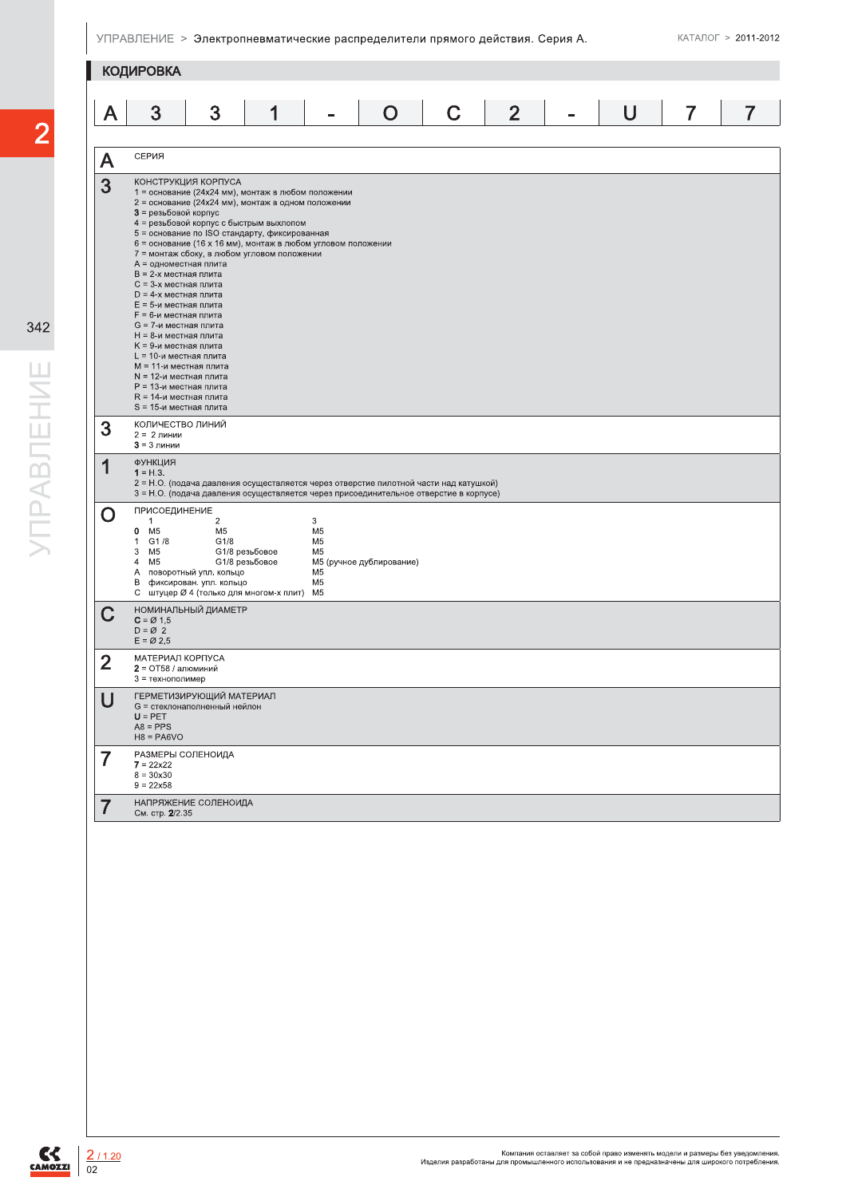|                   | <b>КОДИРОВКА</b>                                                                                                                                                                                                                                                                                                                                                                                                                                                                                                                                                                                                                                                                                                                                                  |
|-------------------|-------------------------------------------------------------------------------------------------------------------------------------------------------------------------------------------------------------------------------------------------------------------------------------------------------------------------------------------------------------------------------------------------------------------------------------------------------------------------------------------------------------------------------------------------------------------------------------------------------------------------------------------------------------------------------------------------------------------------------------------------------------------|
| Α                 | 3<br>$\mathbf C$<br>$\overline{2}$<br>$\overline{7}$<br>3<br>U<br>1<br>O<br>7                                                                                                                                                                                                                                                                                                                                                                                                                                                                                                                                                                                                                                                                                     |
|                   |                                                                                                                                                                                                                                                                                                                                                                                                                                                                                                                                                                                                                                                                                                                                                                   |
| A                 | СЕРИЯ                                                                                                                                                                                                                                                                                                                                                                                                                                                                                                                                                                                                                                                                                                                                                             |
| 3                 | КОНСТРУКЦИЯ КОРПУСА<br>1 = основание (24x24 мм), монтаж в любом положении<br>2 = основание (24x24 мм), монтаж в одном положении<br>3 = резьбовой корпус<br>4 = резьбовой корпус с быстрым выхлопом<br>5 = основание по ISO стандарту, фиксированная<br>6 = основание (16 х 16 мм), монтаж в любом угловом положении<br>7 = монтаж сбоку, в любом угловом положении<br>A = одноместная плита<br>В = 2-х местная плита<br>С = 3-х местная плита<br>$D = 4-x$ местная плита<br>Е = 5-и местная плита<br>F = 6-и местная плита<br>G = 7-и местная плита<br>Н = 8-и местная плита<br>К = 9-и местная плита<br>L = 10-и местная плита<br>M = 11-и местная плита<br>N = 12-и местная плита<br>Р = 13-и местная плита<br>R = 14-и местная плита<br>S = 15-и местная плита |
| 3                 | КОЛИЧЕСТВО ЛИНИЙ<br>$2 = 2$ линии<br>$3 = 3$ линии                                                                                                                                                                                                                                                                                                                                                                                                                                                                                                                                                                                                                                                                                                                |
| 1                 | ФУНКЦИЯ<br>$1 = H.3$ .<br>2 = Н.О. (подача давления осуществляется через отверстие пилотной части над катушкой)<br>3 = Н.О. (подача давления осуществляется через присоединительное отверстие в корпусе)                                                                                                                                                                                                                                                                                                                                                                                                                                                                                                                                                          |
| O                 | ПРИСОЕДИНЕНИЕ<br>$\mathbf{1}$<br>$\overline{c}$<br>3<br>M <sub>5</sub><br>M <sub>5</sub><br>0<br>M <sub>5</sub><br>G1/8<br>$\mathbf{1}$<br>G1/8<br>M <sub>5</sub><br>3<br>M5<br>G1/8 резьбовое<br>M5<br>4 M <sub>5</sub><br>G1/8 резьбовое<br>M5 (ручное дублирование)<br>M <sub>5</sub><br>А поворотный упл. кольцо<br>В фиксирован. упл. кольцо<br>M5<br>С штуцер Ø 4 (только для многом-х плит) М5                                                                                                                                                                                                                                                                                                                                                             |
|                   | НОМИНАЛЬНЫЙ ДИАМЕТР<br>$C = \varnothing$ 1,5<br>$D = \emptyset$ 2<br>$E = \emptyset$ 2,5                                                                                                                                                                                                                                                                                                                                                                                                                                                                                                                                                                                                                                                                          |
| $\overline{2}$    | МАТЕРИАЛ КОРПУСА<br>$2 = OT58 / a$ люминий<br>3 = технополимер                                                                                                                                                                                                                                                                                                                                                                                                                                                                                                                                                                                                                                                                                                    |
| $\mathbf{r}$<br>U | ГЕРМЕТИЗИРУЮЩИЙ МАТЕРИАЛ<br>G = стеклонаполненный нейлон<br>$U = PET$<br>$A8 = PPS$<br>$H8 = PA6VO$                                                                                                                                                                                                                                                                                                                                                                                                                                                                                                                                                                                                                                                               |
| $\overline{7}$    | РАЗМЕРЫ СОЛЕНОИДА<br>$7 = 22x22$<br>$8 = 30x30$<br>$9 = 22x58$                                                                                                                                                                                                                                                                                                                                                                                                                                                                                                                                                                                                                                                                                                    |
| $\overline{7}$    | НАПРЯЖЕНИЕ СОЛЕНОИДА<br>См. стр. 2/2.35                                                                                                                                                                                                                                                                                                                                                                                                                                                                                                                                                                                                                                                                                                                           |



 $C<sub>CAMOZZI</sub>$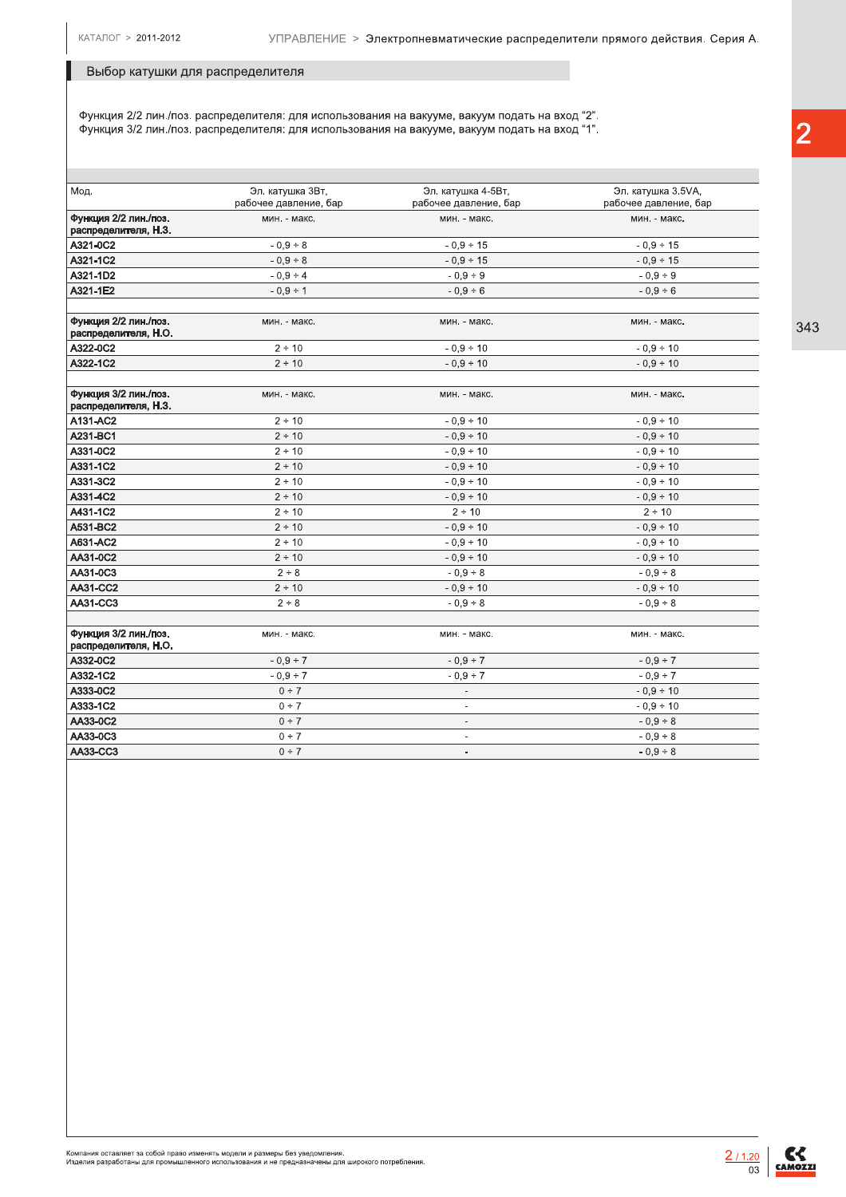### Выбор катушки для распределителя

Функция 2/2 лин./поз. распределителя: для использования на вакууме, вакуум подать на вход "2". Функция 3/2 лин./поз. распределителя: для использования на вакууме, вакуум подать на вход "1".

| Мод.                                          | Эл. катушка ЗВт,<br>рабочее давление, бар | Эл. катушка 4-5Вт,<br>рабочее давление, бар | Эл. катушка 3.5VA,<br>рабочее давление, бар |
|-----------------------------------------------|-------------------------------------------|---------------------------------------------|---------------------------------------------|
| Функция 2/2 лин./поз.<br>распределителя, Н.З. | мин. - макс.                              | мин. - макс.                                | мин. - макс.                                |
| A321-0C2                                      | $-0,9 \div 8$                             | $-0.9 \div 15$                              | $-0.9 \div 15$                              |
| A321-1C2                                      | $-0.9 \div 8$                             | $-0.9 \div 15$                              | $-0.9 \div 15$                              |
| A321-1D2                                      | $-0.9 \div 4$                             | $-0.9 \div 9$                               | $-0.9 ÷ 9$                                  |
| A321-1E2                                      | $-0.9 \div 1$                             | $-0.9 \div 6$                               | $-0.9 \div 6$                               |
| Функция 2/2 лин./поз.<br>распределителя, Н.О. | мин. - макс.                              | мин. - макс.                                | мин. - макс.                                |
| A322-0C2                                      | 2 ÷ 10                                    | $-0.9 \div 10$                              | $-0.9 \div 10$                              |
| A322-1C2                                      | 2 ÷ 10                                    | $-0.9 \div 10$                              | $-0.9 \div 10$                              |
| Функция 3/2 лин./поз.<br>распределителя, Н.З. | мин. - макс.                              | мин. - макс.                                | мин. - макс.                                |
| A131-AC2                                      | 2 ÷ 10                                    | $-0.9 \div 10$                              | $-0.9 \div 10$                              |
| A231-BC1                                      | 2 ÷ 10                                    | $-0.9 \div 10$                              | $-0.9 - 10$                                 |
| A331-0C2                                      | 2 ÷ 10                                    | $-0.9 \div 10$                              | $-0.9 \div 10$                              |
| A331-1C2                                      | 2 ÷ 10                                    | $-0.9 \div 10$                              | $-0.9 \div 10$                              |
| A331-3C2                                      | 2 ÷ 10                                    | $-0.9 \div 10$                              | $-0.9 \div 10$                              |
| A331-4C2                                      | $2 \div 10$                               | $-0.9 \div 10$                              | $-0.9 \div 10$                              |
| A431-1C2                                      | 2 ÷ 10                                    | 2 ÷ 10                                      | 2 ÷ 10                                      |
| A531-BC2                                      | 2 ÷ 10                                    | $-0.9 \div 10$                              | $-0.9 \div 10$                              |
| A631-AC2                                      | 2 ÷ 10                                    | $-0,9 \div 10$                              | $-0.9 \div 10$                              |
| AA31-0C2                                      | 2 ÷ 10                                    | $-0.9 \div 10$                              | $-0.9 \div 10$                              |
| AA31-0C3                                      | 2 ÷ 8                                     | $-0.9 \div 8$                               | $-0.9 \div 8$                               |
| <b>AA31-CC2</b>                               | 2 ÷ 10                                    | $-0.9 \div 10$                              | $-0.9 \div 10$                              |
| AA31-CC3                                      | 2 ÷ 8                                     | $-0.9 \div 8$                               | $-0.9 \div 8$                               |
| Функция 3/2 лин./поз.<br>распределителя, Н.О. | мин. - макс.                              | мин. - макс.                                | мин. - макс.                                |
| A332-0C2                                      | $-0.9 \div 7$                             | $-0.9 \div 7$                               | $-0.9 \div 7$                               |
| A332-1C2                                      | $-0.9 \div 7$                             | $-0,9 \div 7$                               | $-0,9 \div 7$                               |
| A333-0C2                                      | 0 ÷ 7                                     | $\overline{\phantom{a}}$                    | $-0.9 \div 10$                              |
| A333-1C2                                      | 0 ÷ 7                                     | $\overline{a}$                              | $-0.9 \div 10$                              |
| AA33-0C2                                      | 0 ÷ 7                                     | $\overline{\phantom{a}}$                    | $-0.9 \div 8$                               |
| AA33-0C3                                      | 0 ÷ 7                                     | $\overline{\phantom{a}}$                    | $-0.9 \div 8$                               |
| AA33-CC3                                      | 0 ÷ 7                                     | $\overline{\phantom{a}}$                    | $-0.9 \div 8$                               |
|                                               |                                           |                                             |                                             |

 $\overline{2}$ 

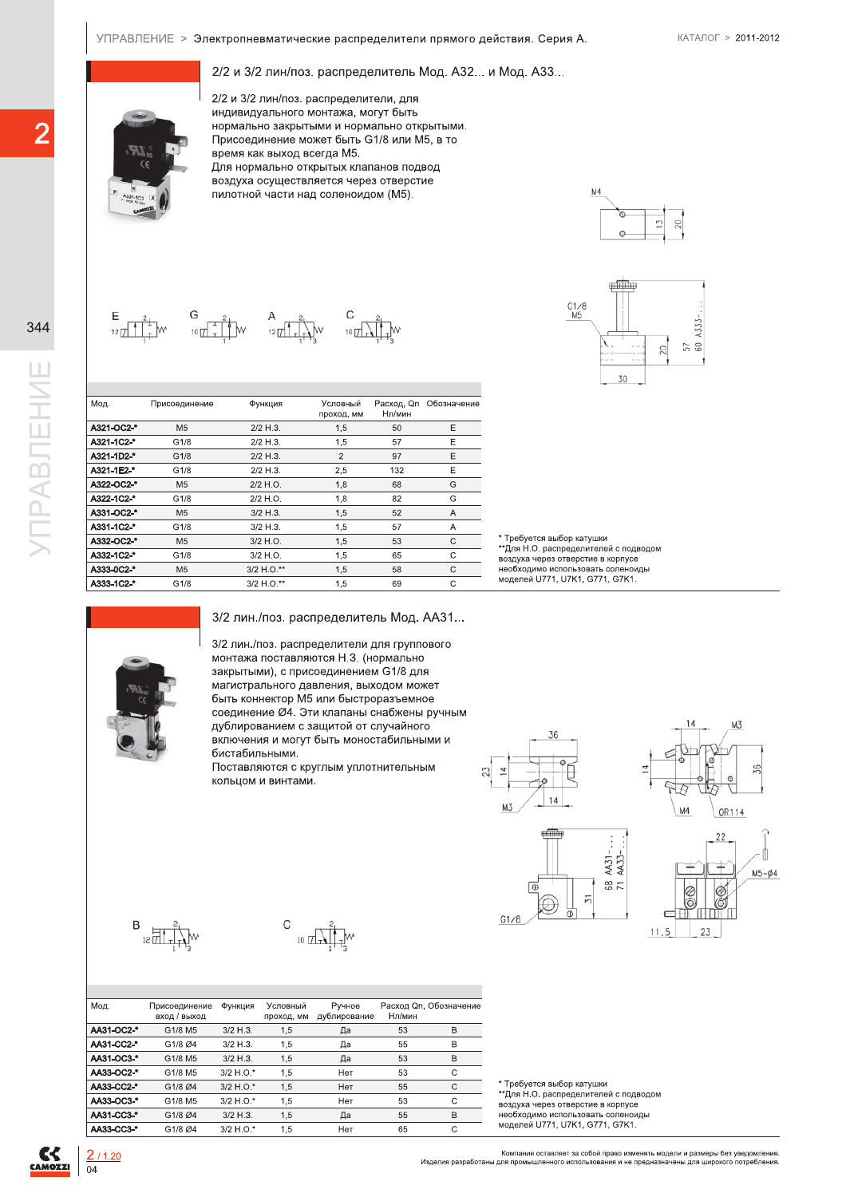## $2/2$  и 3/2 лин/поз. распределитель Мод. А32... и Мод. А33...



УПРАВЛЕНИЕ > Электропневматические распределители прямого действия. Серия А. КАТАЛОГ > 2011-2012<br>2/2 и 3/2 лин/поз. распределитель Мод. А32... и Мод. А33...<br>2/2 и 3/2 лин/поз. распределители, для<br>нндивидуального монтажа, 2/2 и 3/2 лин/поз. распределители. для индивидуального монтажа, могут быть нормально закрытыми и нормально открытыми. Присоединение может быть G1/8 или M5, в то время как выход всегда М5. Для нормально открытых клапанов подвод воздуха осуществляется через отверстие пилотной части над соленоидом (М5).

 $MA$  $20$  $\overline{\mathbb{C}}$ 

 $C$ <sub>10</sub> $\frac{2}{\sqrt{1+\frac{1}{2}}}$ 



| Расход, Qn Обозначение<br>Мод.<br>Условный<br>Присоединение<br>Функция<br>проход, мм<br>Нл/мин<br>A321-OC2-*<br>2/2 H.3.<br>50<br>Ε<br>M <sub>5</sub><br>1,5<br>Ε<br>A321-1C2-*<br>G1/8<br>2/2 H.3.<br>1,5<br>57<br>A321-1D2-*<br>$\overline{2}$<br>97<br>Ε<br>G1/8<br>2/2 H.3.<br>A321-1E2-*<br>Ε<br>G1/8<br>$2/2$ H.3.<br>2,5<br>132<br>G<br>A322-OC2-*<br>1,8<br>M <sub>5</sub><br>2/2 H.O.<br>68<br>A322-1C2-*<br>G<br>G1/8<br>2/2 H.O.<br>1,8<br>82<br>A331-OC2-*<br>M <sub>5</sub><br>$3/2$ H.3.<br>1,5<br>52<br>Α<br>A331-1C2-*<br>57<br>G1/8<br>$3/2$ H.3.<br>1,5<br>Α<br>A332-OC2-*<br>M <sub>5</sub><br>3/2 H.O.<br>1,5<br>53<br>$\mathsf C$<br>A332-1C2-*<br>G1/8<br>3/2 H.O.<br>1,5<br>65<br>C<br>A333-0C2-*<br>3/2 H.O.**<br>$\mathbf C$<br>M <sub>5</sub><br>1,5<br>58<br>A333-1C2-*<br>3/2 H.O.**<br>$\mathbf C$<br>G1/8<br>1,5<br>69<br>3/2 лин./поз. распределитель Мод. АА31<br>3/2 лин./поз. распределители для группового<br>монтажа поставляются Н.З. (нормально<br>закрытыми), с присоединением G1/8 для<br>магистрального давления, выходом может<br>быть коннектор М5 или быстроразъемное<br>соединение Ø4. Эти клапаны снабжены ручным<br>дублированием с защитой от случайного<br>включения и могут быть моностабильными и<br>бистабильными.<br>Поставляются с круглым уплотнительным<br>кольцом и винтами. | C۴<br>A334-1C2 A | 2/2 и 3/2 лин/поз. распределители, для<br>индивидуального монтажа, могут быть<br>нормально закрытыми и нормально открытыми.<br>Присоединение может быть G1/8 или M5, в то<br>время как выход всегда М5.<br>Для нормально открытых клапанов подвод<br>воздуха осуществляется через отверстие<br>пилотной части над соленоидом (М5). |  |  |
|---------------------------------------------------------------------------------------------------------------------------------------------------------------------------------------------------------------------------------------------------------------------------------------------------------------------------------------------------------------------------------------------------------------------------------------------------------------------------------------------------------------------------------------------------------------------------------------------------------------------------------------------------------------------------------------------------------------------------------------------------------------------------------------------------------------------------------------------------------------------------------------------------------------------------------------------------------------------------------------------------------------------------------------------------------------------------------------------------------------------------------------------------------------------------------------------------------------------------------------------------------------------------------------------------------------------------------------|------------------|------------------------------------------------------------------------------------------------------------------------------------------------------------------------------------------------------------------------------------------------------------------------------------------------------------------------------------|--|--|
|                                                                                                                                                                                                                                                                                                                                                                                                                                                                                                                                                                                                                                                                                                                                                                                                                                                                                                                                                                                                                                                                                                                                                                                                                                                                                                                                       |                  |                                                                                                                                                                                                                                                                                                                                    |  |  |
|                                                                                                                                                                                                                                                                                                                                                                                                                                                                                                                                                                                                                                                                                                                                                                                                                                                                                                                                                                                                                                                                                                                                                                                                                                                                                                                                       |                  |                                                                                                                                                                                                                                                                                                                                    |  |  |
|                                                                                                                                                                                                                                                                                                                                                                                                                                                                                                                                                                                                                                                                                                                                                                                                                                                                                                                                                                                                                                                                                                                                                                                                                                                                                                                                       |                  |                                                                                                                                                                                                                                                                                                                                    |  |  |
|                                                                                                                                                                                                                                                                                                                                                                                                                                                                                                                                                                                                                                                                                                                                                                                                                                                                                                                                                                                                                                                                                                                                                                                                                                                                                                                                       |                  |                                                                                                                                                                                                                                                                                                                                    |  |  |
|                                                                                                                                                                                                                                                                                                                                                                                                                                                                                                                                                                                                                                                                                                                                                                                                                                                                                                                                                                                                                                                                                                                                                                                                                                                                                                                                       |                  |                                                                                                                                                                                                                                                                                                                                    |  |  |
|                                                                                                                                                                                                                                                                                                                                                                                                                                                                                                                                                                                                                                                                                                                                                                                                                                                                                                                                                                                                                                                                                                                                                                                                                                                                                                                                       |                  |                                                                                                                                                                                                                                                                                                                                    |  |  |
|                                                                                                                                                                                                                                                                                                                                                                                                                                                                                                                                                                                                                                                                                                                                                                                                                                                                                                                                                                                                                                                                                                                                                                                                                                                                                                                                       |                  |                                                                                                                                                                                                                                                                                                                                    |  |  |
|                                                                                                                                                                                                                                                                                                                                                                                                                                                                                                                                                                                                                                                                                                                                                                                                                                                                                                                                                                                                                                                                                                                                                                                                                                                                                                                                       |                  |                                                                                                                                                                                                                                                                                                                                    |  |  |
|                                                                                                                                                                                                                                                                                                                                                                                                                                                                                                                                                                                                                                                                                                                                                                                                                                                                                                                                                                                                                                                                                                                                                                                                                                                                                                                                       |                  |                                                                                                                                                                                                                                                                                                                                    |  |  |
|                                                                                                                                                                                                                                                                                                                                                                                                                                                                                                                                                                                                                                                                                                                                                                                                                                                                                                                                                                                                                                                                                                                                                                                                                                                                                                                                       |                  |                                                                                                                                                                                                                                                                                                                                    |  |  |
|                                                                                                                                                                                                                                                                                                                                                                                                                                                                                                                                                                                                                                                                                                                                                                                                                                                                                                                                                                                                                                                                                                                                                                                                                                                                                                                                       |                  |                                                                                                                                                                                                                                                                                                                                    |  |  |
|                                                                                                                                                                                                                                                                                                                                                                                                                                                                                                                                                                                                                                                                                                                                                                                                                                                                                                                                                                                                                                                                                                                                                                                                                                                                                                                                       |                  |                                                                                                                                                                                                                                                                                                                                    |  |  |
|                                                                                                                                                                                                                                                                                                                                                                                                                                                                                                                                                                                                                                                                                                                                                                                                                                                                                                                                                                                                                                                                                                                                                                                                                                                                                                                                       |                  |                                                                                                                                                                                                                                                                                                                                    |  |  |
|                                                                                                                                                                                                                                                                                                                                                                                                                                                                                                                                                                                                                                                                                                                                                                                                                                                                                                                                                                                                                                                                                                                                                                                                                                                                                                                                       |                  |                                                                                                                                                                                                                                                                                                                                    |  |  |
|                                                                                                                                                                                                                                                                                                                                                                                                                                                                                                                                                                                                                                                                                                                                                                                                                                                                                                                                                                                                                                                                                                                                                                                                                                                                                                                                       |                  |                                                                                                                                                                                                                                                                                                                                    |  |  |
|                                                                                                                                                                                                                                                                                                                                                                                                                                                                                                                                                                                                                                                                                                                                                                                                                                                                                                                                                                                                                                                                                                                                                                                                                                                                                                                                       |                  |                                                                                                                                                                                                                                                                                                                                    |  |  |

\* Требуется выбор катушки \*\*Для Н.О. распределителей с подводом<br>воздуха через отверстие в корпусе необходимо использовать соленоиды<br>молелей U771, U7K1, G771, G7K1.





 $G1/8$ 





B  $\frac{1}{2}$  $\frac{1}{2}$  $\frac{1}{2}$  $\frac{1}{2}$  $\frac{1}{2}$ 

10  $\pi$ 

| Мод.       | Присоединение<br>ВХОД / ВЫХОД | Функция     | Условный<br>проход, мм | Ручное<br>дублирование | Нл/мин | Расход Qn. Обозначение |
|------------|-------------------------------|-------------|------------------------|------------------------|--------|------------------------|
| AA31-OC2-* | G1/8 M5                       | $3/2$ H.3.  | 1,5                    | Да                     | 53     | B                      |
| AA31-CC2-* | G1/8 Ø4                       | $3/2$ H.3.  | 1,5                    | Да                     | 55     | B                      |
| AA31-OC3-* | G1/8 M5                       | $3/2$ H.3.  | 1,5                    | Да                     | 53     | B                      |
| AA33-OC2-* | G1/8 M5                       | $3/2$ H.O.* | 1,5                    | Нет                    | 53     | C                      |
| AA33-CC2-* | G1/8 Ø4                       | $3/2$ H.O.* | 1.5                    | Нет                    | 55     | C                      |
| AA33-OC3-* | G1/8 M5                       | $3/2$ H.O.* | 1,5                    | Her                    | 53     | C                      |
| AA31-CC3-* | G1/8 Ø4                       | $3/2$ H.3.  | 1,5                    | Да                     | 55     | B                      |
| AA33-CC3-* | G1/8 Ø4                       | $3/2$ H.O.* | 1.5                    | Нет                    | 65     | С                      |

С

\* Требуется выбор катушки

\*\*Для Н.О. распределителей с подводом

воздуха через отверстие в корпусе необходимо использовать соленоиды моделей U771, U7K1, G771, G7K1,

 $C<sub>2</sub>$ 

Компания оставляет за собой право изменять модели и размеры без уведомления.<br>Изделия разработаны для промышленного использования и не предназначены для широкого потребления.

AA31-<br>AA33-

 $rac{8}{7}$ 

 $\overline{5}$ 

ெ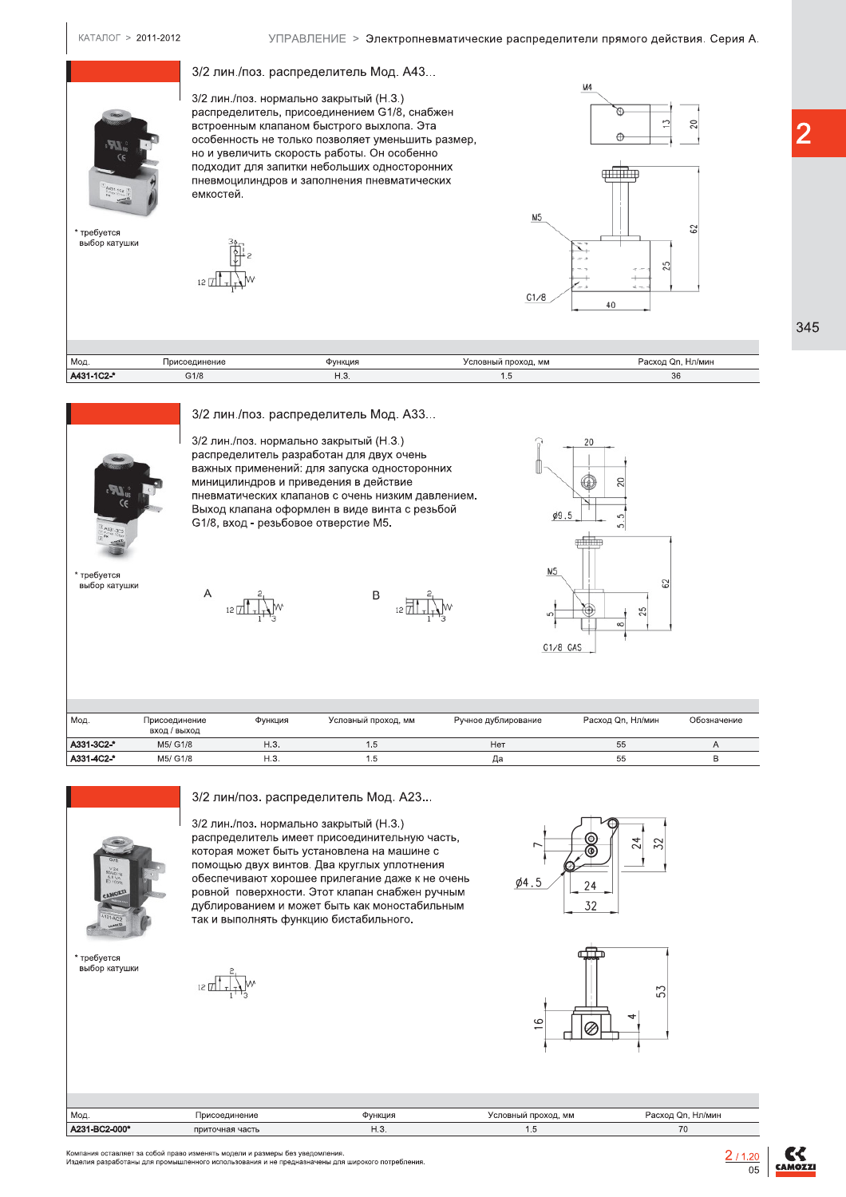КАТАЛОГ > 2011-2012

3/2 лин./поз. распределитель Мод. А43...  $M<sub>4</sub>$ 3/2 лин./поз. нормально закрытый (Н.З.) распределитель, присоединением G1/8, снабжен Þ. встроенным клапаном быстрого выхлопа. Эта  $\oplus$ особенность не только позволяет уменьшить размер, но и увеличить скорость работы. Он особенно подходит для запитки небольших односторонних enfilm пневмоцилиндров и заполнения пневматических емкостей. **M5**  $\approx$ требуется выбор катушки ഗ  $12$   $\frac{1}{2}$  $G1/8$  $4($ 

| Мод.       | Присоединение | Функция | Условный проход, мм | Расход Qn, Нл/мин |
|------------|---------------|---------|---------------------|-------------------|
| A431-1C2-* | G1/8          | ٦.૭     | . ب                 | 36                |
|            |               |         |                     |                   |



требуется выбор катушки

3/2 лин./поз. распределитель Мод. А33...

3/2 лин./поз. нормально закрытый (Н.З.) распределитель разработан для двух очень важных применений: для запуска односторонних миницилиндров и приведения в действие пневматических клапанов с очень низким давлением. Выход клапана оформлен в виде винта с резьбой G1/8, вход - резьбовое отверстие M5.

B 12 J



| Мод.       | Присоединение<br>ВХОД / ВЫХОД | Функция | Условный проход, мм | Ручное дублирование | Расход Qn, Нл/мин | Обозначение |
|------------|-------------------------------|---------|---------------------|---------------------|-------------------|-------------|
| A331-3C2-* | M5/ G1/8                      | H.3.    | l.5                 | He <sub>1</sub>     | 55                |             |
| A331-4C2-* | M5/ G1/8                      | H.3.    | ۵. I                | Да                  | 55                |             |



3/2 лин/поз. распределитель Мод. А23...

 $12$   $\frac{1}{2}$ 

3/2 лин./поз. нормально закрытый (Н.З.) распределитель имеет присоединительную часть, которая может быть установлена на машине с помощью двух винтов. Два круглых уплотнения обеспечивают хорошее прилегание даже к не очень ровной поверхности. Этот клапан снабжен ручным дублированием и может быть как моностабильным так и выполнять функцию бистабильного.



 $12 \sqrt{2}$ 





| Мод           | Присоединение   | Функция | Условный проход, мм | Расход Qn, Нл/мин |
|---------------|-----------------|---------|---------------------|-------------------|
| A231-BC2-000* | приточная часть | ں ا     |                     | 70                |

.<br>Компания оставляет за собой право изменять модели и размеры без уведомления.<br>Изделия разработаны для промышленного использования и не предназначены для широкого потребления

 $2/1.20$  $\overline{05}$ 



345